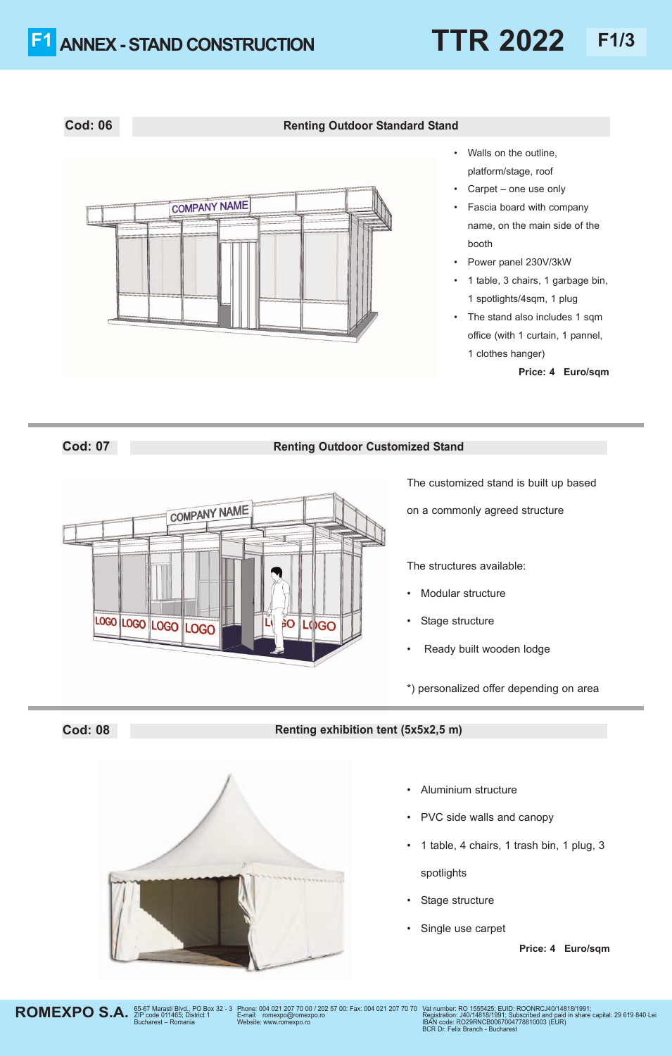### **Cod: 06 Renting Outdoor Standard Stand**



- Walls on the outline, platform/stage, roof
- Carpet one use only
- Fascia board with company name, on the main side of the booth
- Power panel 230V/3kW
- 1 table, 3 chairs, 1 garbage bin, 1 spotlights/4sqm, 1 plug
- The stand also includes 1 sqm office (with 1 curtain, 1 pannel, 1 clothes hanger)

**Price: 45 Euro/sqm**

### **Cod: 07 Renting Outdoor Customized Stand**



The customized stand is built up based

on a commonly agreed structure

The structures available:

- Modular structure
- Stage structure
- Ready built wooden lodge

\*) personalized offer depending on area

## **Cod: 08 Renting exhibition tent (5x5x2,5 m)**



ZIP code 011465; District 1 Bucharest – Romania

- Aluminium structure
- PVC side walls and canopy
- 1 table, 4 chairs, 1 trash bin, 1 plug, 3 spotlights
- Stage structure
- Single use carpet

**Price: 45 Euro/sqm**

**ROMEXPO S.A.** 

Phone: 004 021 207 70 00 / 202 57 00: Fax: 004 021 207 70 70 Vat number: RO 1555425; EUID: ROONRCJ40/14818/1991; E-mail: romexpo@romexpo.ro Website: www.romexpo.ro

Registration: J40/14818/1991; Subscribed and paid in share capital: 29 619 840 Lei<br>IBAN code: RO29RNCB0067004778810003 (EUR)<br>BCR Dr. Felix Branch - Bucharest